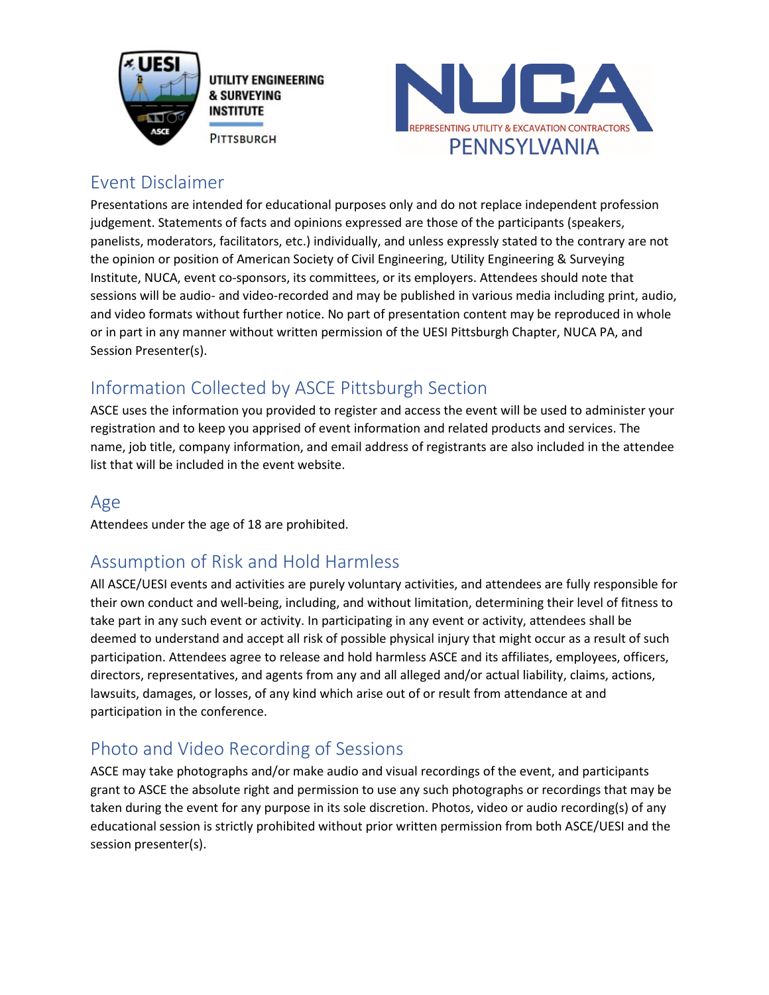

UTILITY ENGINEERING **& SURVEYING INSTITUTE PITTSBURGH** 



#### Event Disclaimer

Presentations are intended for educational purposes only and do not replace independent profession judgement. Statements of facts and opinions expressed are those of the participants (speakers, panelists, moderators, facilitators, etc.) individually, and unless expressly stated to the contrary are not the opinion or position of American Society of Civil Engineering, Utility Engineering & Surveying Institute, NUCA, event co-sponsors, its committees, or its employers. Attendees should note that sessions will be audio- and video-recorded and may be published in various media including print, audio, and video formats without further notice. No part of presentation content may be reproduced in whole or in part in any manner without written permission of the UESI Pittsburgh Chapter, NUCA PA, and Session Presenter(s).

# Information Collected by ASCE Pittsburgh Section

ASCE uses the information you provided to register and access the event will be used to administer your registration and to keep you apprised of event information and related products and services. The name, job title, company information, and email address of registrants are also included in the attendee list that will be included in the event website.

#### Age

Attendees under the age of 18 are prohibited.

## Assumption of Risk and Hold Harmless

All ASCE/UESI events and activities are purely voluntary activities, and attendees are fully responsible for their own conduct and well-being, including, and without limitation, determining their level of fitness to take part in any such event or activity. In participating in any event or activity, attendees shall be deemed to understand and accept all risk of possible physical injury that might occur as a result of such participation. Attendees agree to release and hold harmless ASCE and its affiliates, employees, officers, directors, representatives, and agents from any and all alleged and/or actual liability, claims, actions, lawsuits, damages, or losses, of any kind which arise out of or result from attendance at and participation in the conference.

## Photo and Video Recording of Sessions

ASCE may take photographs and/or make audio and visual recordings of the event, and participants grant to ASCE the absolute right and permission to use any such photographs or recordings that may be taken during the event for any purpose in its sole discretion. Photos, video or audio recording(s) of any educational session is strictly prohibited without prior written permission from both ASCE/UESI and the session presenter(s).